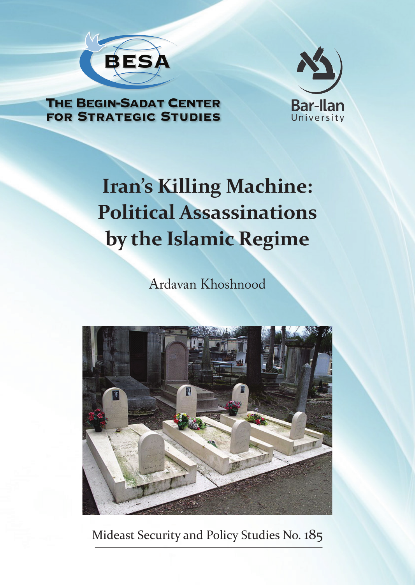



## **THE BEGIN-SADAT CENTER FOR STRATEGIC STUDIES**

# **Iran's Killing Machine: Political Assassinations by the Islamic Regime**

Ardavan Khoshnood



Mideast Security and Policy Studies No. 185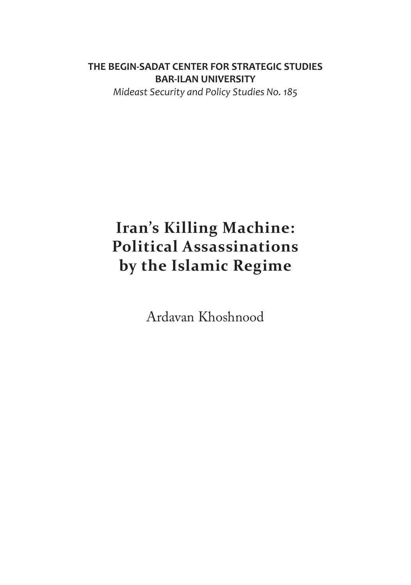### **THE BEGIN-SADAT CENTER FOR STRATEGIC STUDIES BAR-ILAN UNIVERSITY**

*Mideast Security and Policy Studies No. 185*

# **Iran's Killing Machine: Political Assassinations by the Islamic Regime**

Ardavan Khoshnood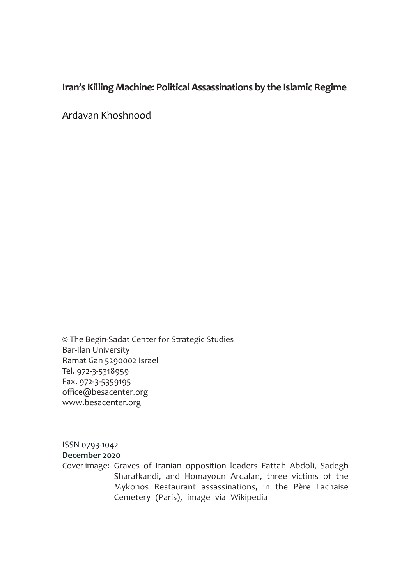### **Iran's Killing Machine: Political Assassinations by the Islamic Regime**

Ardavan Khoshnood

© The Begin-Sadat Center for Strategic Studies Bar-Ilan University Ramat Gan 5290002 Israel Tel. 972-3-5318959 Fax. 972-3-5359195 office@besacenter.org www.besacenter.org

ISSN 0793-1042 **December 2020**

Cover image: Graves of Iranian opposition leaders Fattah Abdoli, Sadegh Sharafkandi, and Homayoun Ardalan, three victims of the Mykonos Restaurant assassinations, in the Père Lachaise Cemetery (Paris), image via Wikipedia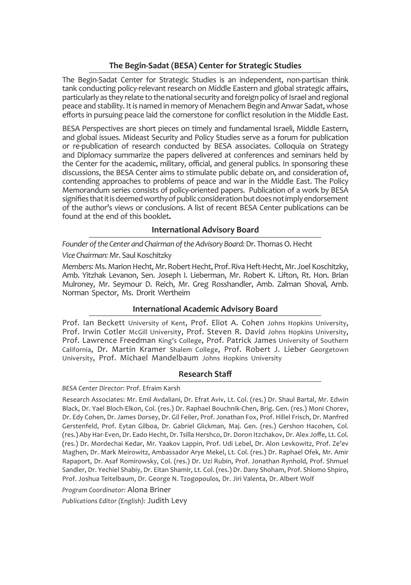### **The Begin-Sadat (BESA) Center for Strategic Studies**

The Begin-Sadat Center for Strategic Studies is an independent, non-partisan think tank conducting policy-relevant research on Middle Eastern and global strategic affairs, particularly as they relate to the national security and foreign policy of Israel and regional peace and stability. It is named in memory of Menachem Begin and Anwar Sadat, whose efforts in pursuing peace laid the cornerstone for conflict resolution in the Middle East.

BESA Perspectives are short pieces on timely and fundamental Israeli, Middle Eastern, and global issues. Mideast Security and Policy Studies serve as a forum for publication or re-publication of research conducted by BESA associates. Colloquia on Strategy and Diplomacy summarize the papers delivered at conferences and seminars held by the Center for the academic, military, official, and general publics. In sponsoring these discussions, the BESA Center aims to stimulate public debate on, and consideration of, contending approaches to problems of peace and war in the Middle East. The Policy Memorandum series consists of policy-oriented papers. Publication of a work by BESA signifies that it is deemed worthy of public consideration but does not imply endorsement of the author's views or conclusions. A list of recent BESA Center publications can be found at the end of this booklet**.**

### **International Advisory Board**

*Founder of the Center and Chairman of the Advisory Board:* Dr. Thomas O. Hecht

### *Vice Chairman:* Mr. Saul Koschitzky

*Members:* Ms. Marion Hecht, Mr. Robert Hecht, Prof. Riva Heft-Hecht, Mr. Joel Koschitzky, Amb. Yitzhak Levanon, Sen. Joseph I. Lieberman, Mr. Robert K. Lifton, Rt. Hon. Brian Mulroney, Mr. Seymour D. Reich, Mr. Greg Rosshandler, Amb. Zalman Shoval, Amb. Norman Spector, Ms. Drorit Wertheim

### **International Academic Advisory Board**

Prof. Ian Beckett University of Kent, Prof. Eliot A. Cohen Johns Hopkins University, Prof. Irwin Cotler McGill University, Prof. Steven R. David Johns Hopkins University, Prof. Lawrence Freedman King's College, Prof. Patrick James University of Southern California, Dr. Martin Kramer Shalem College, Prof. Robert J. Lieber Georgetown University, Prof. Michael Mandelbaum Johns Hopkins University

### **Research Staff**

#### *BESA Center Director:* Prof. Efraim Karsh

Research Associates: Mr. Emil Avdaliani, Dr. Efrat Aviv, Lt. Col. (res.) Dr. Shaul Bartal, Mr. Edwin Black, Dr. Yael Bloch-Elkon, Col. (res.) Dr. Raphael Bouchnik-Chen, Brig. Gen. (res.) Moni Chorev, Dr. Edy Cohen, Dr. James Dorsey, Dr. Gil Feiler, Prof. Jonathan Fox, Prof. Hillel Frisch, Dr. Manfred Gerstenfeld, Prof. Eytan Gilboa, Dr. Gabriel Glickman, Maj. Gen. (res.) Gershon Hacohen, Col. (res.) Aby Har-Even, Dr. Eado Hecht, Dr. Tsilla Hershco, Dr. Doron Itzchakov, Dr. Alex Joffe, Lt. Col. (res.) Dr. Mordechai Kedar, Mr. Yaakov Lappin, Prof. Udi Lebel, Dr. Alon Levkowitz, Prof. Ze'ev Maghen, Dr. Mark Meirowitz, Ambassador Arye Mekel, Lt. Col. (res.) Dr. Raphael Ofek, Mr. Amir Rapaport, Dr. Asaf Romirowsky, Col. (res.) Dr. Uzi Rubin, Prof. Jonathan Rynhold, Prof. Shmuel Sandler, Dr. Yechiel Shabiy, Dr. Eitan Shamir, Lt. Col. (res.) Dr. Dany Shoham, Prof. Shlomo Shpiro, Prof. Joshua Teitelbaum, Dr. George N. Tzogopoulos, Dr. Jiri Valenta, Dr. Albert Wolf

*Program Coordinator:* Alona Briner

*Publications Editor (English):* Judith Levy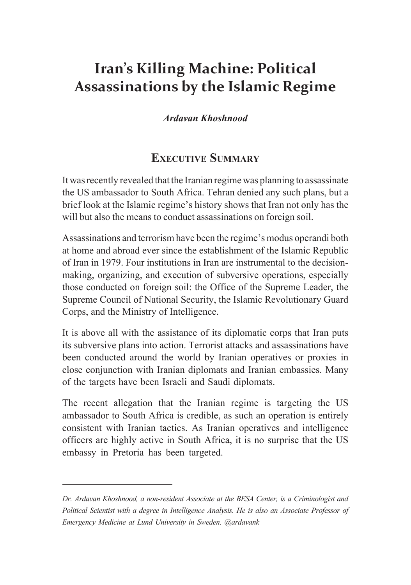# **Iran's Killing Machine: Political Assassinations by the Islamic Regime**

### *Ardavan Khoshnood*

# **Executive Summary**

It was recently revealed that the Iranian regime was planning to assassinate the US ambassador to South Africa. Tehran denied any such plans, but a brief look at the Islamic regime's history shows that Iran not only has the will but also the means to conduct assassinations on foreign soil.

Assassinations and terrorism have been the regime's modus operandi both at home and abroad ever since the establishment of the Islamic Republic of Iran in 1979. Four institutions in Iran are instrumental to the decisionmaking, organizing, and execution of subversive operations, especially those conducted on foreign soil: the Office of the Supreme Leader, the Supreme Council of National Security, the Islamic Revolutionary Guard Corps, and the Ministry of Intelligence.

It is above all with the assistance of its diplomatic corps that Iran puts its subversive plans into action. Terrorist attacks and assassinations have been conducted around the world by Iranian operatives or proxies in close conjunction with Iranian diplomats and Iranian embassies. Many of the targets have been Israeli and Saudi diplomats.

The recent allegation that the Iranian regime is targeting the US ambassador to South Africa is credible, as such an operation is entirely consistent with Iranian tactics. As Iranian operatives and intelligence officers are highly active in South Africa, it is no surprise that the US embassy in Pretoria has been targeted.

*Dr. Ardavan Khoshnood, a non-resident Associate at the BESA Center, is a Criminologist and Political Scientist with a degree in Intelligence Analysis. He is also an Associate Professor of Emergency Medicine at Lund University in Sweden. @ardavank*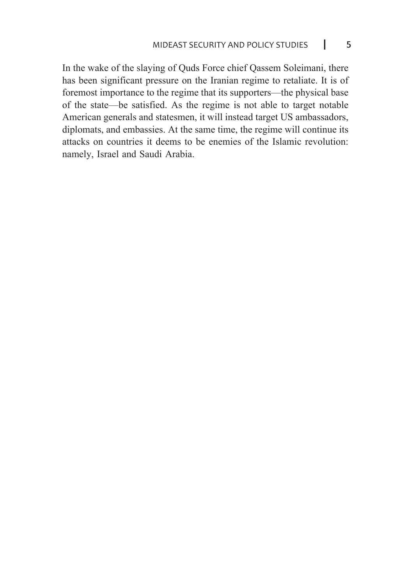In the wake of the slaying of Quds Force chief Qassem Soleimani, there has been significant pressure on the Iranian regime to retaliate. It is of foremost importance to the regime that its supporters—the physical base of the state—be satisfied. As the regime is not able to target notable American generals and statesmen, it will instead target US ambassadors, diplomats, and embassies. At the same time, the regime will continue its attacks on countries it deems to be enemies of the Islamic revolution: namely, Israel and Saudi Arabia.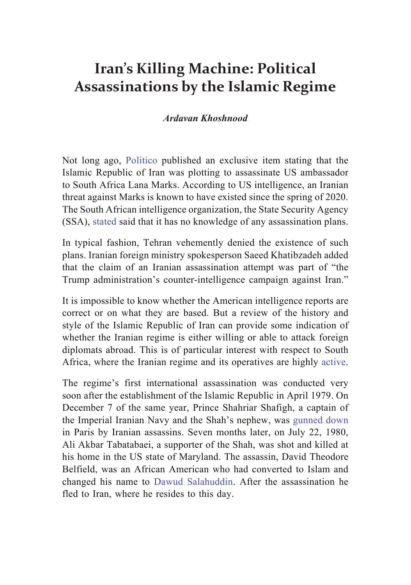# **Iran's Killing Machine: Political Assassinations by the Islamic Regime**

### *Ardavan Khoshnood*

Not long ago, [Politico](https://www.politico.com/news/2020/09/13/iran-south-africa-ambassador-assassination-plot-413831) published an exclusive item stating that the Islamic Republic of Iran was plotting to assassinate US ambassador to South Africa Lana Marks. According to US intelligence, an Iranian threat against Marks is known to have existed since the spring of 2020. The South African intelligence organization, the State Security Agency (SSA), [stated](https://www.rferl.org/a/south-africa-says-insufficient-evidence-of-iranian-plot-to-assassinate-u-s-ambassador/30846472.html) said that it has no knowledge of any assassination plans.

In typical fashion, Tehran vehemently denied the existence of such plans. Iranian foreign ministry spokesperson Saeed Khatibzadeh [added](https://en.farsnews.ir/newstext.aspx?nn=13990624000467) that the claim of an Iranian assassination attempt was part of "the Trump administration's counter-intelligence campaign against Iran."

It is impossible to know whether the American intelligence reports are correct or on what they are based. But a review of the history and style of the Islamic Republic of Iran can provide some indication of whether the Iranian regime is either willing or able to attack foreign diplomats abroad. This is of particular interest with respect to South Africa, where the Iranian regime and its operatives are highly [active.](https://www.aljazeera.com/news/2015/02/23/spy-cables-south-african-spies-wary-of-iran-operations/)

The regime's first international assassination was conducted very soon after the establishment of the Islamic Republic in April 1979. On December 7 of the same year, Prince Shahriar Shafigh, a captain of the Imperial Iranian Navy and the Shah's nephew, was [gunned down](https://news.google.com/newspapers?id=9lFCAAAAIBAJ&sjid=A6sMAAAAIBAJ&dq=assassination%20of%20shahriar%20shafiq&pg=1894%2C4059848) in Paris by Iranian assassins. Seven months later, on July 22, 1980, Ali Akbar Tabatabaei, a supporter of the Shah, was shot and killed at his home in the US state of Maryland. The assassin, David Theodore Belfield, was an African American who had converted to Islam and changed his name to [Dawud Salahuddin](https://thelede.blogs.nytimes.com/2009/09/16/just-another-american-hit-man-actor-and-journalist-living-in-iran/). After the assassination he fled to Iran, where he resides to this day.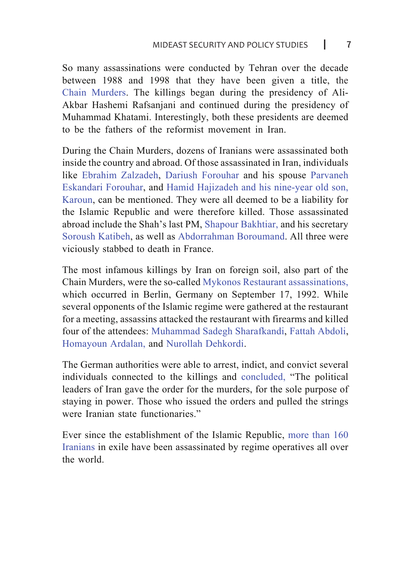So many assassinations were conducted by Tehran over the decade between 1988 and 1998 that they have been given a title, [the](https://www.bbc.com/news/world-middle-east-46356725)  [Chain Murders.](https://www.bbc.com/news/world-middle-east-46356725) The killings began during the presidency of Ali-Akbar Hashemi Rafsanjani and continued during the presidency of Muhammad Khatami. Interestingly, both these presidents are deemed to be the fathers of the reformist movement in Iran.

During the Chain Murders, dozens of Iranians were assassinated both inside the country and abroad. Of those assassinated in Iran, individuals like [Ebrahim Zalzadeh](https://cpj.org/data/people/ebrahim-zalzadeh/), [Dariush Forouhar](https://www.iranrights.org/memorial/story/28399/dariush-foruhar) and his spouse [Parvaneh](https://www.iranrights.org/memorial/story/28400/parvaneh-eskandari-foruhar)  [Eskandari Forouhar](https://www.iranrights.org/memorial/story/28400/parvaneh-eskandari-foruhar), and [Hamid Hajizadeh and his nine-year old son,](https://www.iranrights.org/memorial/story/-7014/hamid-hajizadeh-pur-hajizadeh)  [Karoun,](https://www.iranrights.org/memorial/story/-7014/hamid-hajizadeh-pur-hajizadeh) can be mentioned. They were all deemed to be a liability for the Islamic Republic and were therefore killed. Those assassinated abroad include the Shah's last PM, [Shapour Bakhtiar](https://www.iranrights.org/memorial/story/28402/shapur-bakhtiar), and his secretary [Soroush Katibeh](https://www.iranrights.org/memorial/story/28401/sorush-katibeh), as well as [Abdorrahman Boroumand](https://www.iranrights.org/memorial/story/-3822/abdorrahman-borumand). All three were viciously stabbed to death in France.

The most infamous killings by Iran on foreign soil, also part of the Chain Murders, were the so-called Mykonos Restaurant assassinations, which occurred in Berlin, Germany on September 17, 1992. While several opponents of the Islamic regime were gathered at the restaurant for a meeting, assassins attacked the restaurant with firearms and killed four of the attendees: [Muhammad Sadegh Sharafkandi,](https://www.iranrights.org/memorial/story/33125/mohammad-sadeq-sharafkandi) [Fattah Abdoli](https://www.iranrights.org/memorial/story/33127/fattah-abdoli), [Homayoun Ardalan,](https://www.iranrights.org/memorial/story/33126/homayun-ardalan) and [Nurollah Dehkordi.](https://www.iranrights.org/memorial/story/33128/nurollah-mohammad-pur-nuri-dehkordi)

The German authorities were able to arrest, indict, and convict several individuals connected to the killings and [concluded,](https://www.iranrights.org/library/document/3702) "The political leaders of Iran gave the order for the murders, for the sole purpose of staying in power. Those who issued the orders and pulled the strings were Iranian state functionaries."

Ever since the establishment of the Islamic Republic, [more than 160](https://www.iranrights.org/library/document/2647)  [Iranians](https://www.iranrights.org/library/document/2647) in exile have been assassinated by regime operatives all over the world.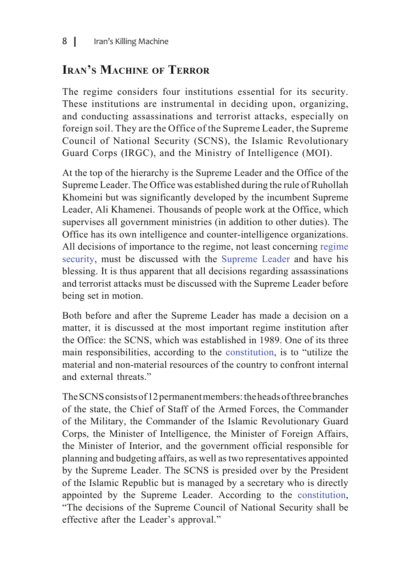# **Iran's Machine of Terror**

The regime considers four institutions essential for its security. These institutions are instrumental in deciding upon, organizing, and conducting assassinations and terrorist attacks, especially on foreign soil. They are the Office of the Supreme Leader, the Supreme Council of National Security (SCNS), the Islamic Revolutionary Guard Corps (IRGC), and the Ministry of Intelligence (MOI).

At the top of the hierarchy is the Supreme Leader and the Office of the Supreme Leader. The Office was established during the rule of Ruhollah Khomeini but was significantly developed by the incumbent Supreme Leader, Ali Khamenei. Thousands of people work at the Office, which supervises all government ministries (in addition to other duties). The Office has its own intelligence and counter-intelligence organizations. All decisions of importance to the regime, not least concerning [regime](https://www.rand.org/content/dam/rand/pubs/monograph_reports/MR1320/MR1320.ch3.pdf)  [security,](https://www.rand.org/content/dam/rand/pubs/monograph_reports/MR1320/MR1320.ch3.pdf) must be discussed with the [Supreme Leader](https://iranprimer.usip.org/resource/supreme-leader) and have his blessing. It is thus apparent that all decisions regarding assassinations and terrorist attacks must be discussed with the Supreme Leader before being set in motion.

Both before and after the Supreme Leader has made a decision on a matter, it is discussed at the most important regime institution after the Office: the SCNS, which was established in 1989. One of its three main responsibilities, according to the constitution, is to "utilize the material and non-material resources of the country to confront internal and external threats."

The SCNS consists of 12 permanent members: the heads of three branches of the state, the Chief of Staff of the Armed Forces, the Commander of the Military, the Commander of the Islamic Revolutionary Guard Corps, the Minister of Intelligence, the Minister of Foreign Affairs, the Minister of Interior, and the government official responsible for planning and budgeting affairs, as well as two representatives appointed by the Supreme Leader. The SCNS is presided over by the President of the Islamic Republic but is managed by a secretary who is directly appointed by the Supreme Leader. According to the constitution, "The decisions of the Supreme Council of National Security shall be effective after the Leader's approval."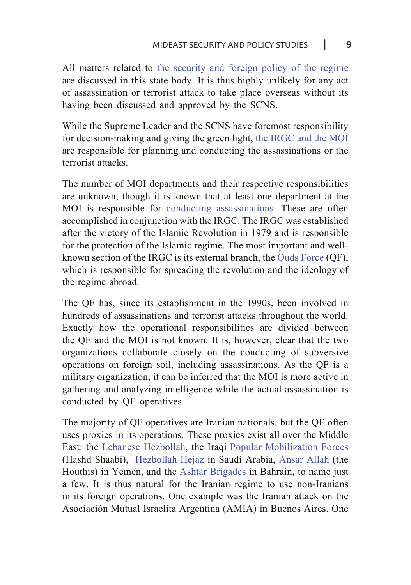All matters related to [the security and foreign policy of the regime](https://www.rand.org/content/dam/rand/pubs/perspectives/PE300/PE344/RAND_PE344.pdf) are discussed in this state body. It is thus highly unlikely for any act of assassination or terrorist attack to take place overseas without its having been discussed and approved by the SCNS.

While the Supreme Leader and the SCNS have foremost responsibility for decision-making and giving the green light, [the IRGC and the MOI](https://doi.org/10.1080/08850609708435351) are responsible for planning and conducting the assassinations or the terrorist attacks.

The number of MOI departments and their respective responsibilities are unknown, though it is known that at least one department at the MOI is responsible for [conducting assassinations.](https://iranhrdc.org/no-safe-haven-irans-global-assassination-campaign/) These are often accomplished in conjunction with the IRGC. The IRGC was established after the victory of the Islamic Revolution in 1979 and is responsible for the protection of the Islamic regime. The most important and wellknown section of the IRGC is its external branch, the [Quds Force](https://besacenter.org/perspectives-papers/iran-revolutionary-guards-terrorism/) (QF), which is responsible for spreading the revolution and the ideology of the regime abroad.

The QF has, since its establishment in the 1990s, been involved in hundreds of assassinations and terrorist attacks throughout the world. Exactly how the operational responsibilities are divided between the QF and the MOI is not known. It is, however, clear that the two organizations collaborate closely on the conducting of subversive operations on foreign soil, including assassinations. As the QF is a military organization, it can be inferred that the MOI is more active in gathering and analyzing intelligence while the actual assassination is conducted by QF operatives.

The majority of QF operatives are Iranian nationals, but the QF often uses proxies in its operations. These proxies exist all over the Middle East: the [Lebanese Hezbollah](https://besacenter.org/perspectives-papers/hezbollah-lebanon-iran-domination/), the Iraqi [Popular Mobilization Forces](https://www.wilsoncenter.org/article/part-2-pro-iran-militias-iraq) (Hashd Shaabi), [Hezbollah Hejaz](https://muse.jhu.edu/article/380306) in Saudi Arabia, [Ansar Allah](https://iranprimer.usip.org/blog/2018/oct/04/state-department-report-1-iran%E2%80%99s-support-terrorism) (the Houthis) in Yemen, and the [Ashtar Brigades](https://iranprimer.usip.org/blog/2018/oct/04/state-department-report-1-iran%E2%80%99s-support-terrorism) in Bahrain, to name just a few. It is thus natural for the Iranian regime to use non-Iranians in its foreign operations. One example was the Iranian attack on the Asociación Mutual Israelita Argentina (AMIA) in Buenos Aires. One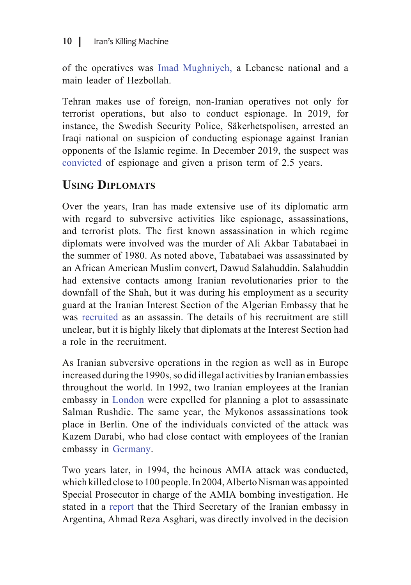of the operatives was [Imad Mughniyeh,](https://www.washingtoninstitute.org/policy-analysis/view/imad-mughniyeh-and-hezbollahs-shadow-war-a-washington-institute-backgrounde) a Lebanese national and a main leader of Hezbollah.

Tehran makes use of foreign, non-Iranian operatives not only for terrorist operations, but also to conduct espionage. In 2019, for instance, the Swedish Security Police, Säkerhetspolisen, arrested an Iraqi national on suspicion of conducting espionage against Iranian opponents of the Islamic regime. In December 2019, the suspect was [convicted](https://www.sakerhetspolisen.se/ovrigt/pressrum/aktuellt/aktuellt/2019-12-20-fangelse-for-flyktingspionage.html) of espionage and given a prison term of 2.5 years.

# **Using Diplomats**

Over the years, Iran has made extensive use of its diplomatic arm with regard to subversive activities like espionage, assassinations, and terrorist plots. The first known assassination in which regime diplomats were involved was the murder of Ali Akbar Tabatabaei in the summer of 1980. As noted above, Tabatabaei was assassinated by an African American Muslim convert, Dawud Salahuddin. Salahuddin had extensive contacts among Iranian revolutionaries prior to the downfall of the Shah, but it was during his employment as a security guard at the Iranian Interest Section of the Algerian Embassy that he was [recruited](https://www.newyorker.com/magazine/2002/08/05/an-american-terrorist) as an assassin. The details of his recruitment are still unclear, but it is highly likely that diplomats at the Interest Section had a role in the recruitment.

As Iranian subversive operations in the region as well as in Europe increased during the 1990s, so did illegal activities by Iranian embassies throughout the world. In 1992, two Iranian employees at the Iranian embassy in [London](https://www.bbc.com/news/uk-15949285) were expelled for planning a plot to assassinate Salman Rushdie. The same year, the Mykonos assassinations took place in Berlin. One of the individuals convicted of the attack was Kazem Darabi, who had close contact with employees of the Iranian embassy in [Germany.](http://albertonisman.org/wp-content/uploads/2015/03/2006-Nisman-indict-AMIA-full-ENG_.pdf)

Two years later, in 1994, the heinous AMIA attack was conducted, which killed close to 100 people. In 2004, Alberto Nisman was appointed Special Prosecutor in charge of the AMIA bombing investigation. He stated in a [report](http://albertonisman.org/wp-content/uploads/2015/03/2006-Nisman-indict-AMIA-full-ENG_.pdf) that the Third Secretary of the Iranian embassy in Argentina, Ahmad Reza Asghari, was directly involved in the decision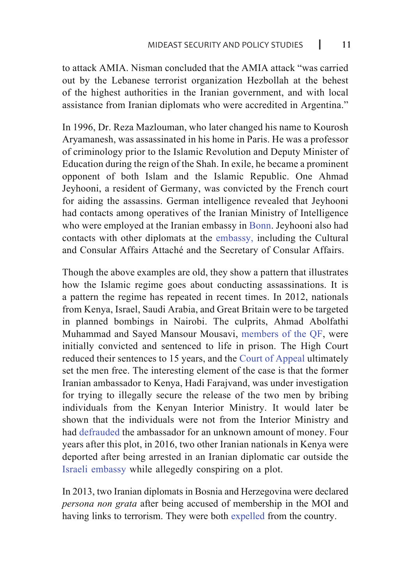to attack AMIA. Nisman concluded that the AMIA attack "was carried out by the Lebanese terrorist organization Hezbollah at the behest of the highest authorities in the Iranian government, and with local assistance from Iranian diplomats who were accredited in Argentina."

In 1996, Dr. Reza Mazlouman, who later changed his name to Kourosh Aryamanesh, was assassinated in his home in Paris. He was a professor of criminology prior to the Islamic Revolution and Deputy Minister of Education during the reign of the Shah. In exile, he became a prominent opponent of both Islam and the Islamic Republic. One Ahmad Jeyhooni, a resident of Germany, was convicted by the French court for aiding the assassins. German intelligence revealed that Jeyhooni had contacts among operatives of the Iranian Ministry of Intelligence who were employed at the Iranian embassy in [Bonn.](http://albertonisman.org/wp-content/uploads/2015/03/2006-Nisman-indict-AMIA-full-ENG_.pdf) Jeyhooni also had contacts with other diplomats at the [embassy,](https://iranhrdc.org/no-safe-haven-irans-global-assassination-campaign/) including the Cultural and Consular Affairs Attaché and the Secretary of Consular Affairs.

Though the above examples are old, they show a pattern that illustrates how the Islamic regime goes about conducting assassinations. It is a pattern the regime has repeated in recent times. In 2012, nationals from Kenya, Israel, Saudi Arabia, and Great Britain were to be targeted in planned bombings in Nairobi. The culprits, Ahmad Abolfathi Muhammad and Sayed Mansour Mousavi, [members of the QF,](https://www.ynetnews.com/articles/0,7340,L-4893087,00.html) were initially convicted and sentenced to life in prison. The High Court reduced their sentences to 15 years, and the [Court of Appeal](https://www.theeastafrican.co.ke/tea/news/east-africa/iran-envoy-in-botched-plot-to-free-suspects-in-kenya-1413030) ultimately set the men free. The interesting element of the case is that the former Iranian ambassador to Kenya, Hadi Farajvand, was under investigation for trying to illegally secure the release of the two men by bribing individuals from the Kenyan Interior Ministry. It would later be shown that the individuals were not from the Interior Ministry and had de[frauded](https://www.kenyans.co.ke/news/37249-iran-ambassador-kenya-caught-trying-free-terror-suspects) the ambassador for an unknown amount of money. Four years after this plot, in 2016, two other Iranian nationals in Kenya were deported after being arrested in an Iranian diplomatic car outside the [Israeli embassy](https://www.haaretz.com/israel-news/kenya-deports-iranians-for-plotting-attack-on-israeli-embassy-1.5473871) while allegedly conspiring on a plot.

In 2013, two Iranian diplomats in Bosnia and Herzegovina were declared *persona non grata* after being accused of membership in the MOI and having links to terrorism. They were both [expelled](https://www.refworld.org/docid/536229a4b.html) from the country.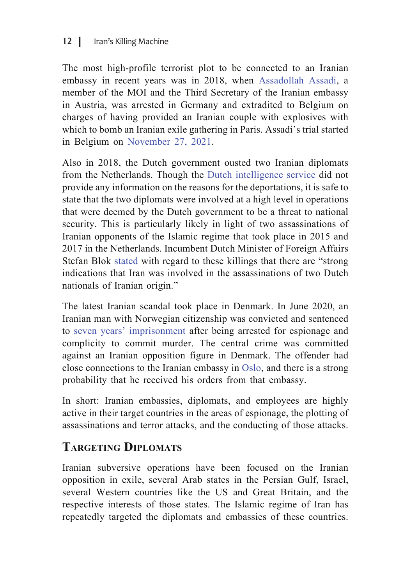The most high-profile terrorist plot to be connected to an Iranian embassy in recent years was in 2018, when [Assadollah Assadi](https://en.radiofarda.com/a/belgium-to-try-iranian-diplomat-accused-of-terrorist-attack-in-france-/30731830.html), a member of the MOI and the Third Secretary of the Iranian embassy in Austria, was arrested in Germany and extradited to Belgium on charges of having provided an Iranian couple with explosives with which to bomb an Iranian exile gathering in Paris. Assadi's trial started in Belgium on [November 27, 2021.](https://www.aljazeera.com/news/2020/11/27/iran-diplomat-skips-opening-day-of-bomb-plot-trial)

Also in 2018, the Dutch government ousted two Iranian diplomats from the Netherlands. Though the [Dutch intelligence service](https://fr.reuters.com/article/us-europe-iran-netherlands-idUSKBN1JW27V) did not provide any information on the reasons for the deportations, it is safe to state that the two diplomats were involved at a high level in operations that were deemed by the Dutch government to be a threat to national security. This is particularly likely in light of two assassinations of Iranian opponents of the Islamic regime that took place in 2015 and 2017 in the Netherlands. Incumbent Dutch Minister of Foreign Affairs Stefan Blok [stated](https://www.theguardian.com/world/2019/jan/08/iran-behind-two-assassinations-in-netherlands-minister) with regard to these killings that there are "strong indications that Iran was involved in the assassinations of two Dutch nationals of Iranian origin."

The latest Iranian scandal took place in Denmark. In June 2020, an Iranian man with Norwegian citizenship was convicted and sentenced to [seven years' imprisonment](https://www.bloomberg.com/news/articles/2020-06-26/danes-find-norwegian-iranian-man-guilty-of-spying-for-iran) after being arrested for espionage and complicity to commit murder. The central crime was committed against an Iranian opposition figure in Denmark. The offender had close connections to the Iranian embassy in [Oslo](https://www.ict.org.il/Article/2355/Threat_to_Europe_from_Foreign_Fighters%23gsc.tab%3D0), and there is a strong probability that he received his orders from that embassy.

In short: Iranian embassies, diplomats, and employees are highly active in their target countries in the areas of espionage, the plotting of assassinations and terror attacks, and the conducting of those attacks.

# **Targeting Diplomats**

Iranian subversive operations have been focused on the Iranian opposition in exile, several Arab states in the Persian Gulf, Israel, several Western countries like the US and Great Britain, and the respective interests of those states. The Islamic regime of Iran has repeatedly targeted the diplomats and embassies of these countries.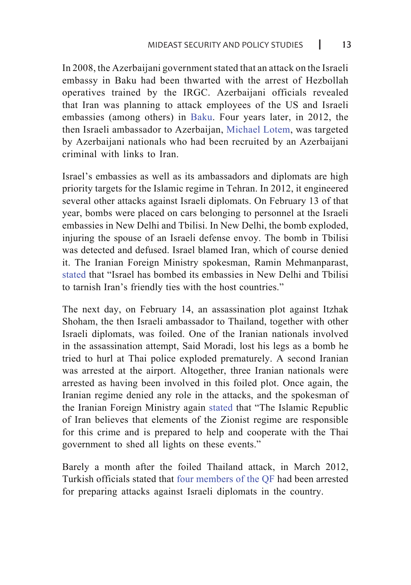In 2008, the Azerbaijani government stated that an attack on the Israeli embassy in Baku had been thwarted with the arrest of Hezbollah operatives trained by the IRGC. Azerbaijani officials revealed that Iran was planning to attack employees of the US and Israeli embassies (among others) in [Baku](https://www.terrorism-info.org.il/Data/articles/Art_20416/E_199_12_932157709.pdf). Four years later, in 2012, the then Israeli ambassador to Azerbaijan, [Michael Lotem,](http://eurodialogue.org/Azerbaijan%20police%20foil%20Iran%20plot%20to%20assassinate%20Israel%20ambassador) was targeted by Azerbaijani nationals who had been recruited by an Azerbaijani criminal with links to Iran.

Israel's embassies as well as its ambassadors and diplomats are high priority targets for the Islamic regime in Tehran. In 2012, it engineered several other attacks against Israeli diplomats. On February 13 of that year, bombs were placed on cars belonging to personnel at the Israeli embassies in New Delhi and Tbilisi. In New Delhi, the bomb exploded, injuring the spouse of an Israeli defense envoy. The bomb in Tbilisi was detected and defused. Israel blamed Iran, which of course denied it. The Iranian Foreign Ministry spokesman, Ramin Mehmanparast, [stated](https://www.nytimes.com/2012/02/14/world/middleeast/israeli-embassy-officials-attacked-in-india-and-georgia.html) that "Israel has bombed its embassies in New Delhi and Tbilisi to tarnish Iran's friendly ties with the host countries."

The next day, on February 14, an assassination plot against Itzhak Shoham, the then Israeli ambassador to Thailand, together with other Israeli diplomats, was foiled. One of the Iranian nationals involved in the assassination attempt, Said Moradi, lost his legs as a bomb he tried to hurl at Thai police exploded prematurely. A second Iranian was arrested at the airport. Altogether, three Iranian nationals were arrested as having been involved in this foiled plot. Once again, the Iranian regime denied any role in the attacks, and the spokesman of the Iranian Foreign Ministry again [stated](https://www.dw.com/en/israel-accuses-iran-of-targeting-diplomats/a-15742824) that "The Islamic Republic of Iran believes that elements of the Zionist regime are responsible for this crime and is prepared to help and cooperate with the Thai government to shed all lights on these events."

Barely a month after the foiled Thailand attack, in March 2012, Turkish officials stated that [four members of the QF](https://english.alarabiya.net/en/features/2017/10/20/Quds-Force-Extensive-Record-of-Assassinations-Bombings) had been arrested for preparing attacks against Israeli diplomats in the country.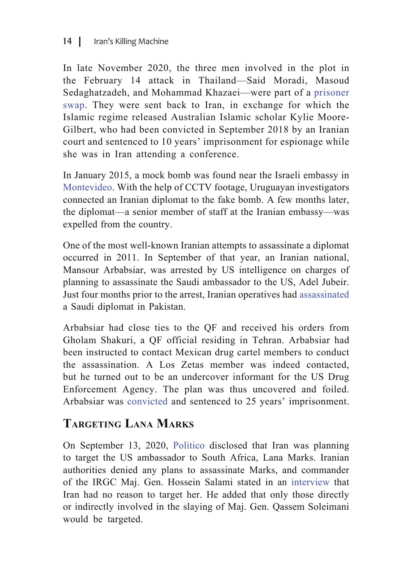### 14 | Iran's Killing Machine

In late November 2020, the three men involved in the plot in the February 14 attack in Thailand—Said Moradi, Masoud Sedaghatzadeh, and Mohammad Khazaei—were part of a [prisoner](https://www.bangkokpost.com/thailand/general/2025987/thailand-confirms-return-of-iranians-held-over-2012-bomb-plot)  [swap.](https://www.bangkokpost.com/thailand/general/2025987/thailand-confirms-return-of-iranians-held-over-2012-bomb-plot) They were sent back to Iran, in exchange for which the Islamic regime released Australian Islamic scholar Kylie Moore-Gilbert, who had been convicted in September 2018 by an Iranian court and sentenced to 10 years' imprisonment for espionage while she was in Iran attending a conference.

In January 2015, a mock bomb was found near the Israeli embassy in [Montevideo.](https://www.theguardian.com/world/2015/feb/06/uruguay-expels-iranian-diplomat-fake-bomb-israeli-embassy) With the help of CCTV footage, Uruguayan investigators connected an Iranian diplomat to the fake bomb. A few months later, the diplomat—a senior member of staff at the Iranian embassy—was expelled from the country.

One of the most well-known Iranian attempts to assassinate a diplomat occurred in 2011. In September of that year, an Iranian national, Mansour Arbabsiar, was arrested by US intelligence on charges of planning to assassinate the Saudi ambassador to the US, Adel Jubeir. Just four months prior to the arrest, Iranian operatives had [assassinated](https://www.washingtoninstitute.org/uploads/Documents/pubs/PolicyFocus123.pdf) a Saudi diplomat in Pakistan.

Arbabsiar had close ties to the QF and received his orders from Gholam Shakuri, a QF official residing in Tehran. Arbabsiar had been instructed to contact Mexican drug cartel members to conduct the assassination. A Los Zetas member was indeed contacted, but he turned out to be an undercover informant for the US Drug Enforcement Agency. The plan was thus uncovered and foiled. Arbabsiar was [convicted](https://www.nytimes.com/2013/05/31/nyregion/mansour-arbabsiar-sentenced-for-plot-to-kill-saudi-ambassador.html) and sentenced to 25 years' imprisonment.

# **Targeting Lana Marks**

On September 13, 2020, [Politico](https://www.politico.com/news/2020/09/13/iran-south-africa-ambassador-assassination-plot-413831) disclosed that Iran was planning to target the US ambassador to South Africa, Lana Marks. Iranian authorities denied any plans to assassinate Marks, and commander of the IRGC Maj. Gen. Hossein Salami stated in an [interview](https://www.france24.com/en/20200919-iran-guards-vow-soleimani-revenge-will-target-only-those-involved) that Iran had no reason to target her. He added that only those directly or indirectly involved in the slaying of Maj. Gen. Qassem Soleimani would be targeted.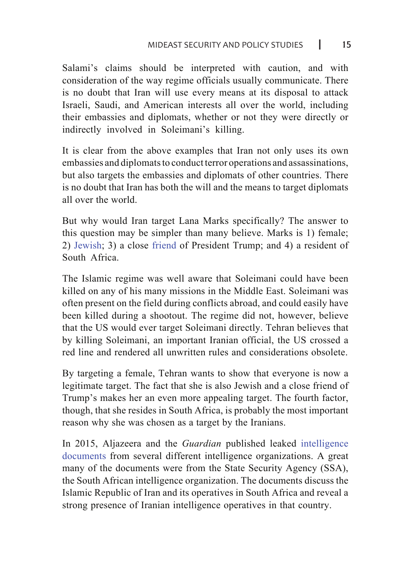Salami's claims should be interpreted with caution, and with consideration of the way regime officials usually communicate. There is no doubt that Iran will use every means at its disposal to attack Israeli, Saudi, and American interests all over the world, including their embassies and diplomats, whether or not they were directly or indirectly involved in Soleimani's killing.

It is clear from the above examples that Iran not only uses its own embassies and diplomats to conduct terror operations and assassinations, but also targets the embassies and diplomats of other countries. There is no doubt that Iran has both the will and the means to target diplomats all over the world.

But why would Iran target Lana Marks specifically? The answer to this question may be simpler than many believe. Marks is 1) female; 2) [Jewish;](https://www.haaretz.com/us-news/iran-reportedly-weighing-plot-to-assassinate-u-s-amb-to-south-africa-1.9153637) 3) a close [friend](https://www.haaretz.com/us-news/iran-reportedly-weighing-plot-to-assassinate-u-s-amb-to-south-africa-1.9153637) of President Trump; and 4) a resident of South Africa.

The Islamic regime was well aware that Soleimani could have been killed on any of his many missions in the Middle East. Soleimani was often present on the field during conflicts abroad, and could easily have been killed during a shootout. The regime did not, however, believe that the US would ever target Soleimani directly. Tehran believes that by killing Soleimani, an important Iranian official, the US crossed a red line and rendered all unwritten rules and considerations obsolete.

By targeting a female, Tehran wants to show that everyone is now a legitimate target. The fact that she is also Jewish and a close friend of Trump's makes her an even more appealing target. The fourth factor, though, that she resides in South Africa, is probably the most important reason why she was chosen as a target by the Iranians.

In 2015, Aljazeera and the *Guardian* published leaked [intelligence](https://www.aljazeera.com/news/2015/02/spy-cables-south-africa-spies-iran-operations-guardian-ssa-tehran-undercover-carpet--150219184023503.html)  [documents](https://www.aljazeera.com/news/2015/02/spy-cables-south-africa-spies-iran-operations-guardian-ssa-tehran-undercover-carpet--150219184023503.html) from several different intelligence organizations. A great many of the documents were from the State Security Agency (SSA), the South African intelligence organization. The documents discuss the Islamic Republic of Iran and its operatives in South Africa and reveal a strong presence of Iranian intelligence operatives in that country.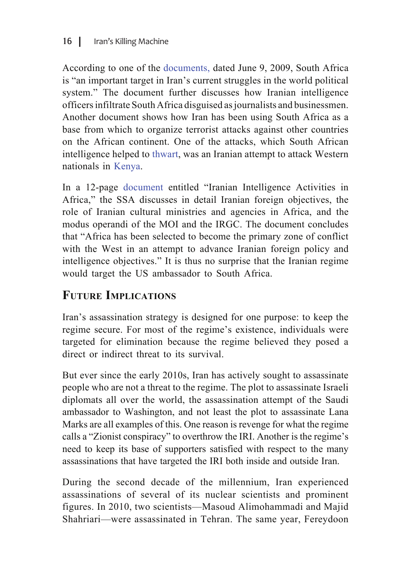According to one of the [documents](https://www.documentcloud.org/documents/1672726-ssa-assessment-of-irans-interests-and-activities.html), dated June 9, 2009, South Africa is "an important target in Iran's current struggles in the world political system." The document further discusses how Iranian intelligence officers infiltrate South Africa disguised as journalists and businessmen. Another document shows how Iran has been using South Africa as a base from which to organize terrorist attacks against other countries on the African continent. One of the attacks, which South African intelligence helped to [thwart](https://assets.documentcloud.org/documents/1672741/ssa-meets-israel-mossad-october-2012.pdf), was an Iranian attempt to attack Western nationals in [Kenya.](https://www.ynetnews.com/articles/0,7340,L-4893087,00.html)

In a 12-page [document](https://assets.documentcloud.org/documents/1672745/ssa-on-iranian-intelligence-in-africa-october-2012.pdf) entitled "Iranian Intelligence Activities in Africa," the SSA discusses in detail Iranian foreign objectives, the role of Iranian cultural ministries and agencies in Africa, and the modus operandi of the MOI and the IRGC. The document concludes that "Africa has been selected to become the primary zone of conflict with the West in an attempt to advance Iranian foreign policy and intelligence objectives." It is thus no surprise that the Iranian regime would target the US ambassador to South Africa.

## **Future Implications**

Iran's assassination strategy is designed for one purpose: to keep the regime secure. For most of the regime's existence, individuals were targeted for elimination because the regime believed they posed a direct or indirect threat to its survival.

But ever since the early 2010s, Iran has actively sought to assassinate people who are not a threat to the regime. The plot to assassinate Israeli diplomats all over the world, the assassination attempt of the Saudi ambassador to Washington, and not least the plot to assassinate Lana Marks are all examples of this. One reason is revenge for what the regime calls a "Zionist conspiracy" to overthrow the IRI. Another is the regime's need to keep its base of supporters satisfied with respect to the many assassinations that have targeted the IRI both inside and outside Iran.

During the second decade of the millennium, Iran experienced assassinations of several of its nuclear scientists and prominent figures. In 2010, two scientists—Masoud Alimohammadi and Majid Shahriari—were assassinated in Tehran. The same year, Fereydoon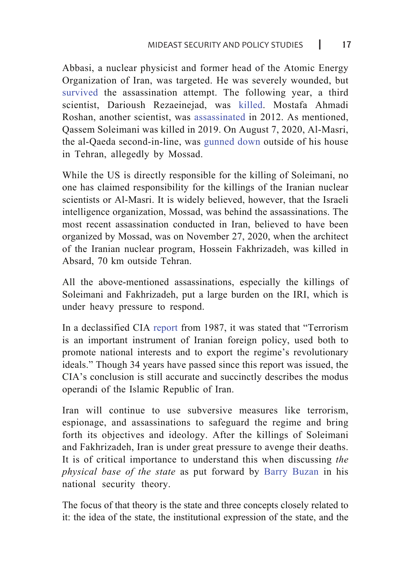Abbasi, a nuclear physicist and former head of the Atomic Energy Organization of Iran, was targeted. He was severely wounded, but [survived](https://www.nytimes.com/2011/07/23/world/middleeast/23iran.html?) the assassination attempt. The following year, a third scientist, Darioush Rezaeinejad, was [killed](https://www.news24.com/News24/Shot-Iranian-said-to-be-nuke-expert-20110728). Mostafa Ahmadi Roshan, another scientist, was [assassinated](https://www.bbc.com/news/world-middle-east-16501566) in 2012. As mentioned, Qassem Soleimani was killed in 2019. On August 7, 2020, Al-Masri, the al-Qaeda second-in-line, was [gunned down](https://besacenter.org/perspectives-papers/the-al-masri-assassination-another-iranian-intelligence-failure/) outside of his house in Tehran, allegedly by Mossad.

While the US is directly responsible for the killing of Soleimani, no one has claimed responsibility for the killings of the Iranian nuclear scientists or Al-Masri. It is widely believed, however, that the Israeli intelligence organization, Mossad, was behind the assassinations. The most recent assassination conducted in Iran, believed to have been organized by Mossad, was on November 27, 2020, when the architect of the Iranian nuclear program, Hossein Fakhrizadeh, was killed in Absard, 70 km outside Tehran.

All the above-mentioned assassinations, especially the killings of Soleimani and Fakhrizadeh, put a large burden on the IRI, which is under heavy pressure to respond.

In a declassified CIA [report](https://www.cia.gov/library/readingroom/docs/CIA-RDP91T00498R000800100002-2.pdf) from 1987, it was stated that "Terrorism is an important instrument of Iranian foreign policy, used both to promote national interests and to export the regime's revolutionary ideals." Though 34 years have passed since this report was issued, the CIA's conclusion is still accurate and succinctly describes the modus operandi of the Islamic Republic of Iran.

Iran will continue to use subversive measures like terrorism, espionage, and assassinations to safeguard the regime and bring forth its objectives and ideology. After the killings of Soleimani and Fakhrizadeh, Iran is under great pressure to avenge their deaths. It is of critical importance to understand this when discussing *the physical base of the state* as put forward by [Barry Buzan](https://www.amazon.com/People-States-Fear-International-Post-Cold/dp/0955248817) in his national security theory.

The focus of that theory is the state and three concepts closely related to it: the idea of the state, the institutional expression of the state, and the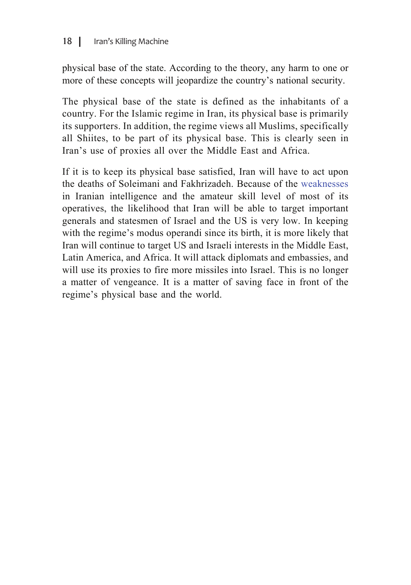physical base of the state. According to the theory, any harm to one or more of these concepts will jeopardize the country's national security.

The physical base of the state is defined as the inhabitants of a country. For the Islamic regime in Iran, its physical base is primarily its supporters. In addition, the regime views all Muslims, specifically all Shiites, to be part of its physical base. This is clearly seen in Iran's use of proxies all over the Middle East and Africa.

If it is to keep its physical base satisfied, Iran will have to act upon the deaths of Soleimani and Fakhrizadeh. Because of the [weaknesses](https://besacenter.org/perspectives-papers/the-al-masri-assassination-another-iranian-intelligence-failure/) in Iranian intelligence and the amateur skill level of most of its operatives, the likelihood that Iran will be able to target important generals and statesmen of Israel and the US is very low. In keeping with the regime's modus operandi since its birth, it is more likely that Iran will continue to target US and Israeli interests in the Middle East, Latin America, and Africa. It will attack diplomats and embassies, and will use its proxies to fire more missiles into Israel. This is no longer a matter of vengeance. It is a matter of saving face in front of the regime's physical base and the world.